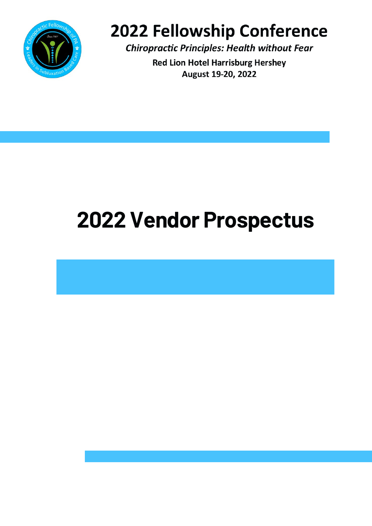

# 2022 Fellowship Conference

**Chiropractic Principles: Health without Fear** 

**Red Lion Hotel Harrisburg Hershey** August 19-20, 2022

# **2022 Vendor Prospectus**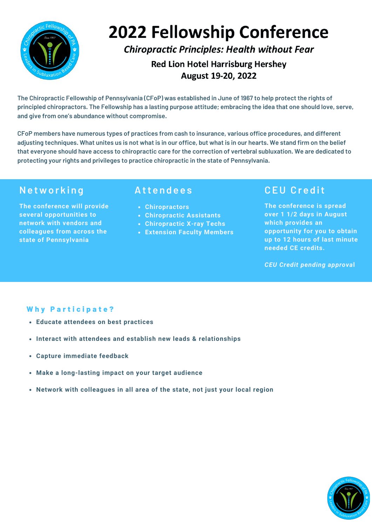

# **2022 Fellowship Conference**

**Chiropractic Principles: Health without Fear** 

**Red Lion Hotel Harrisburg Hershey** August 19-20, 2022

The Chiropractic Fellowship of Pennsylvania (CFoP) was established in June of 1967 to help protect the rights of principled chiropractors. The Fellowship has a lasting purpose attitude; embracing the idea that one should love, serve, **and give from one's abundance without compromise.**

**CFoP members have numerous types of practices from cash to insurance, various office procedures, and different** adjusting techniques. What unites us is not what is in our office, but what is in our hearts. We stand firm on the belief that everyone should have access to chiropractic care for the correction of vertebral subluxation. We are dedicated to **protecting your rights and privileges to practice chiropractic in the state of Pennsylvania.**

### **Ne two r k i n g**

**The conference will provide several opportunities to network with vendors and colleagues from across the state of Pennsylvania**

### **Att e n d e e s**

- **Chiropractors**
- **Chiropractic Assistants**
- **Chiropractic X-ray Techs**
- **Extension Faculty Members**

## **CEU Cr e d it**

**The conference is spread over 1 1/2 days in August which provides an opportunity for you to obtain up to 12 hours of last minute needed CE credits.**

*CEU Credit pending approva***l**

#### **W h y P a r t i c i p a t e ?**

- **Educate attendees on best practices**
- **Interact with attendees and establish new leads & relationships**
- **Capture immediate feedback**
- **Make a long-lasting impact on your target audience**
- **Network with colleagues in all area of the state, not just your local region**